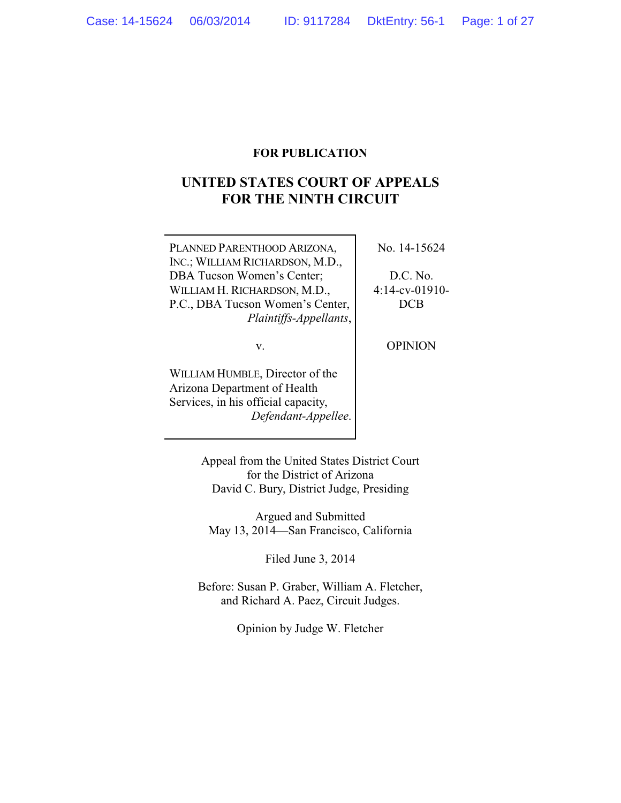## **FOR PUBLICATION**

# **UNITED STATES COURT OF APPEALS FOR THE NINTH CIRCUIT**

PLANNED PARENTHOOD ARIZONA, INC.; WILLIAM RICHARDSON, M.D., DBA Tucson Women's Center; WILLIAM H. RICHARDSON, M.D., P.C., DBA Tucson Women's Center, *Plaintiffs-Appellants*, No. 14-15624

D.C. No. 4:14-cv-01910- DCB

v.

WILLIAM HUMBLE, Director of the Arizona Department of Health Services, in his official capacity, *Defendant-Appellee*. OPINION

Appeal from the United States District Court for the District of Arizona David C. Bury, District Judge, Presiding

Argued and Submitted May 13, 2014—San Francisco, California

Filed June 3, 2014

Before: Susan P. Graber, William A. Fletcher, and Richard A. Paez, Circuit Judges.

Opinion by Judge W. Fletcher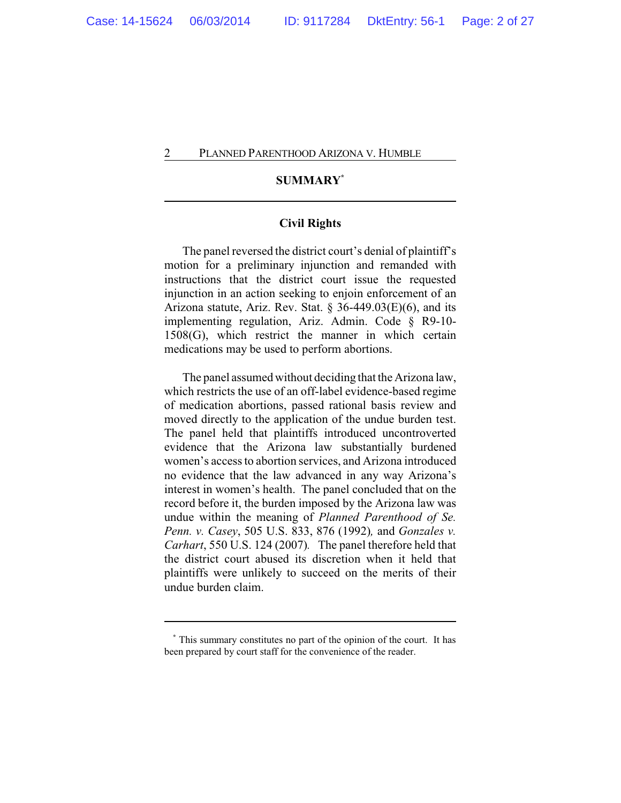## **SUMMARY\***

## **Civil Rights**

The panel reversed the district court's denial of plaintiff's motion for a preliminary injunction and remanded with instructions that the district court issue the requested injunction in an action seeking to enjoin enforcement of an Arizona statute, Ariz. Rev. Stat.  $\S$  36-449.03(E)(6), and its implementing regulation, Ariz. Admin. Code § R9-10- 1508(G), which restrict the manner in which certain medications may be used to perform abortions.

The panel assumed without deciding that the Arizona law, which restricts the use of an off-label evidence-based regime of medication abortions, passed rational basis review and moved directly to the application of the undue burden test. The panel held that plaintiffs introduced uncontroverted evidence that the Arizona law substantially burdened women's access to abortion services, and Arizona introduced no evidence that the law advanced in any way Arizona's interest in women's health. The panel concluded that on the record before it, the burden imposed by the Arizona law was undue within the meaning of *Planned Parenthood of Se. Penn. v. Casey*, 505 U.S. 833, 876 (1992)*,* and *Gonzales v. Carhart*, 550 U.S. 124 (2007)*.* The panel therefore held that the district court abused its discretion when it held that plaintiffs were unlikely to succeed on the merits of their undue burden claim.

**<sup>\*</sup>** This summary constitutes no part of the opinion of the court. It has been prepared by court staff for the convenience of the reader.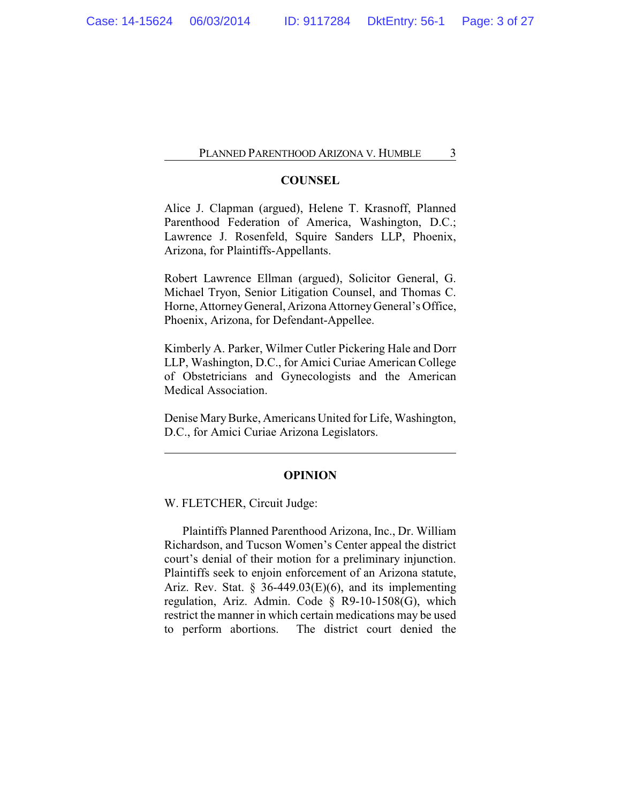## **COUNSEL**

Alice J. Clapman (argued), Helene T. Krasnoff, Planned Parenthood Federation of America, Washington, D.C.; Lawrence J. Rosenfeld, Squire Sanders LLP, Phoenix, Arizona, for Plaintiffs-Appellants.

Robert Lawrence Ellman (argued), Solicitor General, G. Michael Tryon, Senior Litigation Counsel, and Thomas C. Horne, AttorneyGeneral, Arizona AttorneyGeneral's Office, Phoenix, Arizona, for Defendant-Appellee.

Kimberly A. Parker, Wilmer Cutler Pickering Hale and Dorr LLP, Washington, D.C., for Amici Curiae American College of Obstetricians and Gynecologists and the American Medical Association.

Denise MaryBurke, Americans United for Life, Washington, D.C., for Amici Curiae Arizona Legislators.

### **OPINION**

W. FLETCHER, Circuit Judge:

Plaintiffs Planned Parenthood Arizona, Inc., Dr. William Richardson, and Tucson Women's Center appeal the district court's denial of their motion for a preliminary injunction. Plaintiffs seek to enjoin enforcement of an Arizona statute, Ariz. Rev. Stat. § 36-449.03 $(E)(6)$ , and its implementing regulation, Ariz. Admin. Code § R9-10-1508(G), which restrict the manner in which certain medications may be used to perform abortions. The district court denied the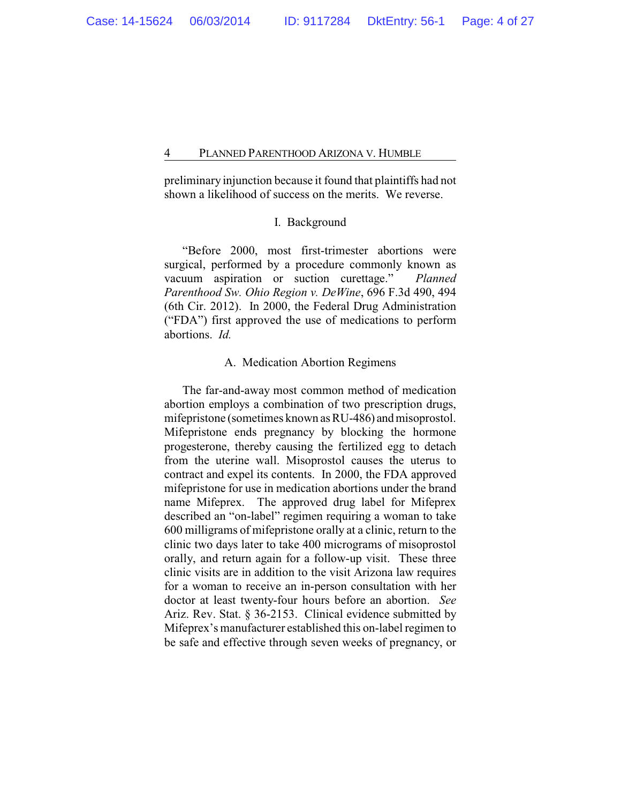preliminary injunction because it found that plaintiffs had not shown a likelihood of success on the merits. We reverse.

## I. Background

"Before 2000, most first-trimester abortions were surgical, performed by a procedure commonly known as vacuum aspiration or suction curettage." *Planned Parenthood Sw. Ohio Region v. DeWine*, 696 F.3d 490, 494 (6th Cir. 2012). In 2000, the Federal Drug Administration ("FDA") first approved the use of medications to perform abortions. *Id.*

## A. Medication Abortion Regimens

The far-and-away most common method of medication abortion employs a combination of two prescription drugs, mifepristone (sometimes known as RU-486) and misoprostol. Mifepristone ends pregnancy by blocking the hormone progesterone, thereby causing the fertilized egg to detach from the uterine wall. Misoprostol causes the uterus to contract and expel its contents. In 2000, the FDA approved mifepristone for use in medication abortions under the brand name Mifeprex. The approved drug label for Mifeprex described an "on-label" regimen requiring a woman to take 600 milligrams of mifepristone orally at a clinic, return to the clinic two days later to take 400 micrograms of misoprostol orally, and return again for a follow-up visit. These three clinic visits are in addition to the visit Arizona law requires for a woman to receive an in-person consultation with her doctor at least twenty-four hours before an abortion. *See* Ariz. Rev. Stat. § 36-2153. Clinical evidence submitted by Mifeprex's manufacturer established this on-label regimen to be safe and effective through seven weeks of pregnancy, or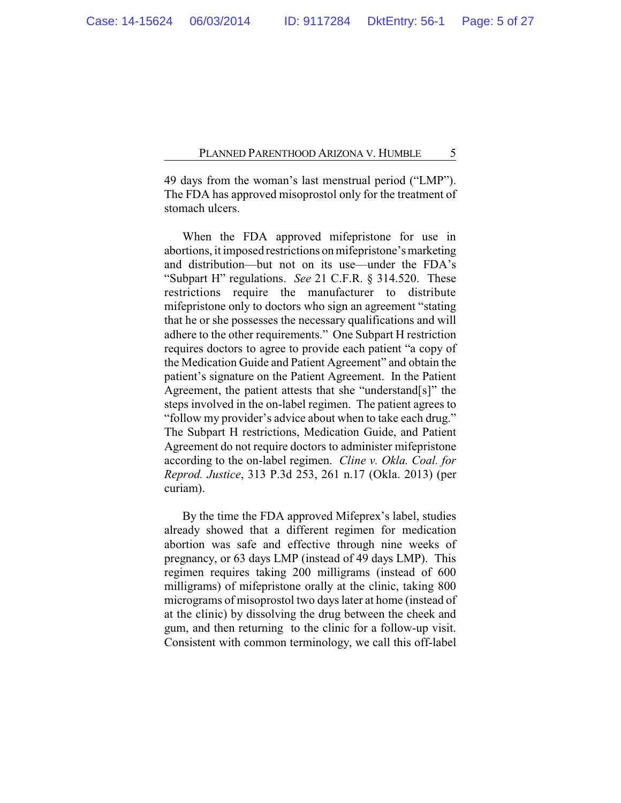49 days from the woman's last menstrual period ("LMP"). The FDA has approved misoprostol only for the treatment of stomach ulcers.

When the FDA approved mifepristone for use in abortions, it imposed restrictions on mifepristone's marketing and distribution—but not on its use—under the FDA's "Subpart H" regulations. *See* 21 C.F.R. § 314.520. These restrictions require the manufacturer to distribute mifepristone only to doctors who sign an agreement "stating that he or she possesses the necessary qualifications and will adhere to the other requirements." One Subpart H restriction requires doctors to agree to provide each patient "a copy of the Medication Guide and Patient Agreement" and obtain the patient's signature on the Patient Agreement. In the Patient Agreement, the patient attests that she "understand[s]" the steps involved in the on-label regimen. The patient agrees to "follow my provider's advice about when to take each drug." The Subpart H restrictions, Medication Guide, and Patient Agreement do not require doctors to administer mifepristone according to the on-label regimen. *Cline v. Okla. Coal. for Reprod. Justice*, 313 P.3d 253, 261 n.17 (Okla. 2013) (per curiam).

By the time the FDA approved Mifeprex's label, studies already showed that a different regimen for medication abortion was safe and effective through nine weeks of pregnancy, or 63 days LMP (instead of 49 days LMP). This regimen requires taking 200 milligrams (instead of 600 milligrams) of mifepristone orally at the clinic, taking 800 micrograms of misoprostol two days later at home (instead of at the clinic) by dissolving the drug between the cheek and gum, and then returning to the clinic for a follow-up visit. Consistent with common terminology, we call this off-label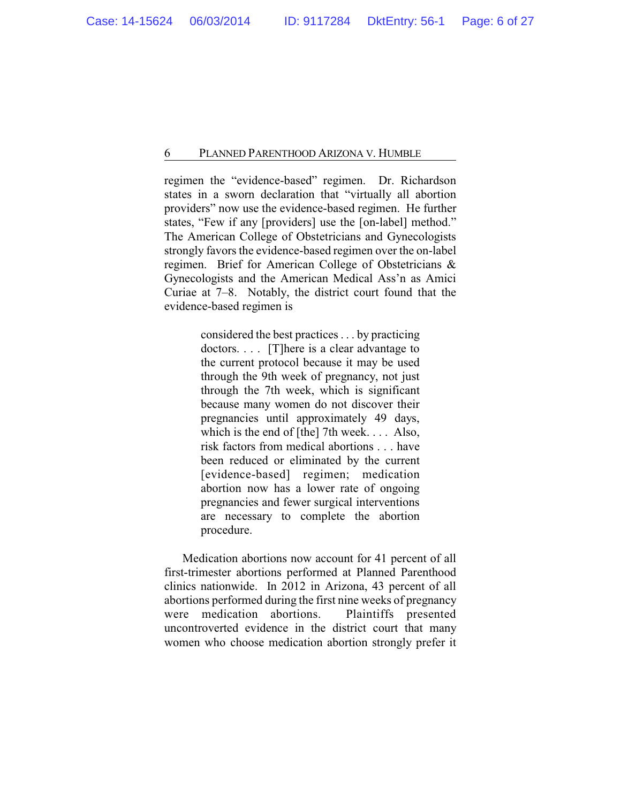regimen the "evidence-based" regimen. Dr. Richardson states in a sworn declaration that "virtually all abortion providers" now use the evidence-based regimen. He further states, "Few if any [providers] use the [on-label] method." The American College of Obstetricians and Gynecologists strongly favors the evidence-based regimen over the on-label regimen. Brief for American College of Obstetricians & Gynecologists and the American Medical Ass'n as Amici Curiae at 7–8. Notably, the district court found that the evidence-based regimen is

> considered the best practices . . . by practicing doctors.... [T] here is a clear advantage to the current protocol because it may be used through the 9th week of pregnancy, not just through the 7th week, which is significant because many women do not discover their pregnancies until approximately 49 days, which is the end of [the] 7th week. . . . Also, risk factors from medical abortions . . . have been reduced or eliminated by the current [evidence-based] regimen; medication abortion now has a lower rate of ongoing pregnancies and fewer surgical interventions are necessary to complete the abortion procedure.

Medication abortions now account for 41 percent of all first-trimester abortions performed at Planned Parenthood clinics nationwide. In 2012 in Arizona, 43 percent of all abortions performed during the first nine weeks of pregnancy were medication abortions. Plaintiffs presented uncontroverted evidence in the district court that many women who choose medication abortion strongly prefer it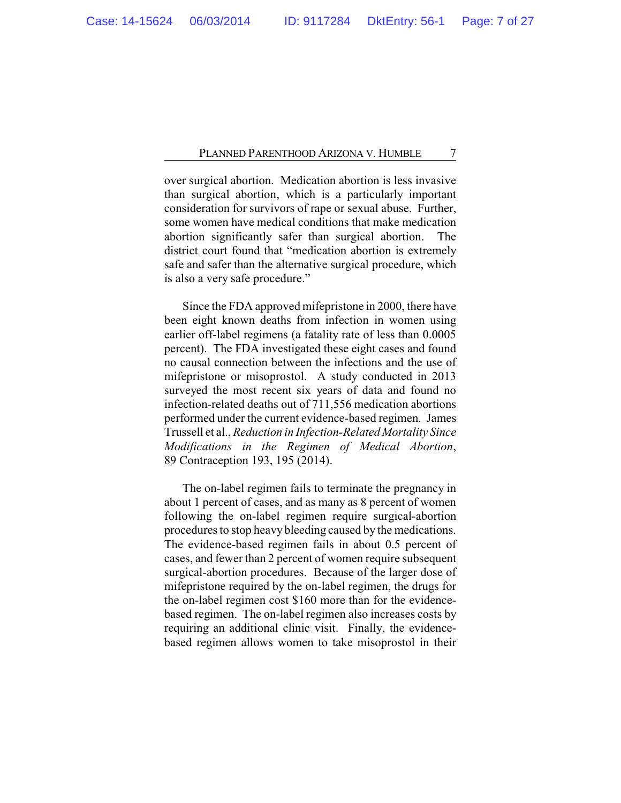over surgical abortion. Medication abortion is less invasive than surgical abortion, which is a particularly important consideration for survivors of rape or sexual abuse. Further, some women have medical conditions that make medication abortion significantly safer than surgical abortion. The district court found that "medication abortion is extremely safe and safer than the alternative surgical procedure, which is also a very safe procedure."

Since the FDA approved mifepristone in 2000, there have been eight known deaths from infection in women using earlier off-label regimens (a fatality rate of less than 0.0005 percent). The FDA investigated these eight cases and found no causal connection between the infections and the use of mifepristone or misoprostol. A study conducted in 2013 surveyed the most recent six years of data and found no infection-related deaths out of 711,556 medication abortions performed under the current evidence-based regimen. James Trussell et al., *Reduction in Infection-Related Mortality Since Modifications in the Regimen of Medical Abortion*, 89 Contraception 193, 195 (2014).

The on-label regimen fails to terminate the pregnancy in about 1 percent of cases, and as many as 8 percent of women following the on-label regimen require surgical-abortion procedures to stop heavy bleeding caused by the medications. The evidence-based regimen fails in about 0.5 percent of cases, and fewer than 2 percent of women require subsequent surgical-abortion procedures. Because of the larger dose of mifepristone required by the on-label regimen, the drugs for the on-label regimen cost \$160 more than for the evidencebased regimen. The on-label regimen also increases costs by requiring an additional clinic visit. Finally, the evidencebased regimen allows women to take misoprostol in their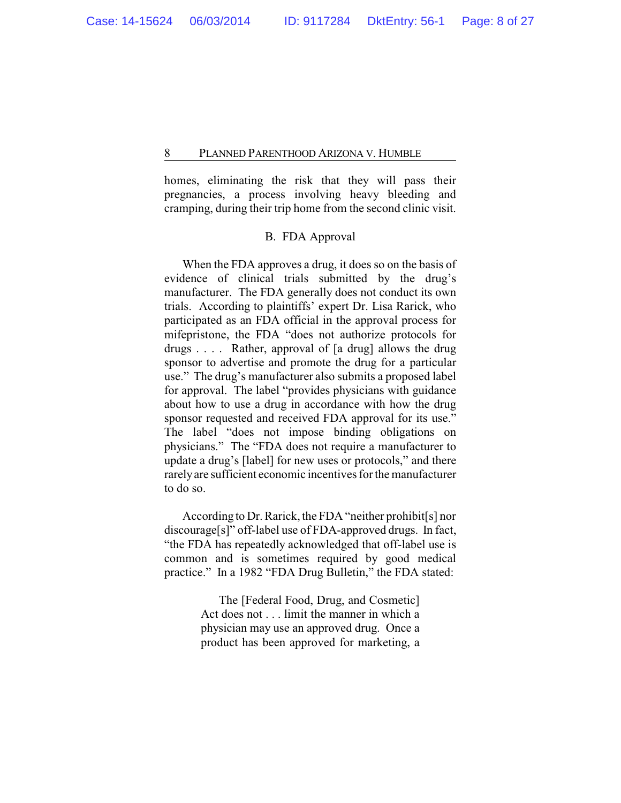homes, eliminating the risk that they will pass their pregnancies, a process involving heavy bleeding and cramping, during their trip home from the second clinic visit.

## B. FDA Approval

When the FDA approves a drug, it does so on the basis of evidence of clinical trials submitted by the drug's manufacturer. The FDA generally does not conduct its own trials. According to plaintiffs' expert Dr. Lisa Rarick, who participated as an FDA official in the approval process for mifepristone, the FDA "does not authorize protocols for drugs . . . . Rather, approval of [a drug] allows the drug sponsor to advertise and promote the drug for a particular use." The drug's manufacturer also submits a proposed label for approval. The label "provides physicians with guidance about how to use a drug in accordance with how the drug sponsor requested and received FDA approval for its use." The label "does not impose binding obligations on physicians." The "FDA does not require a manufacturer to update a drug's [label] for new uses or protocols," and there rarelyare sufficient economic incentives for the manufacturer to do so.

According to Dr. Rarick, the FDA "neither prohibit[s] nor discourage[s]" off-label use of FDA-approved drugs. In fact, "the FDA has repeatedly acknowledged that off-label use is common and is sometimes required by good medical practice." In a 1982 "FDA Drug Bulletin," the FDA stated:

> The [Federal Food, Drug, and Cosmetic] Act does not . . . limit the manner in which a physician may use an approved drug. Once a product has been approved for marketing, a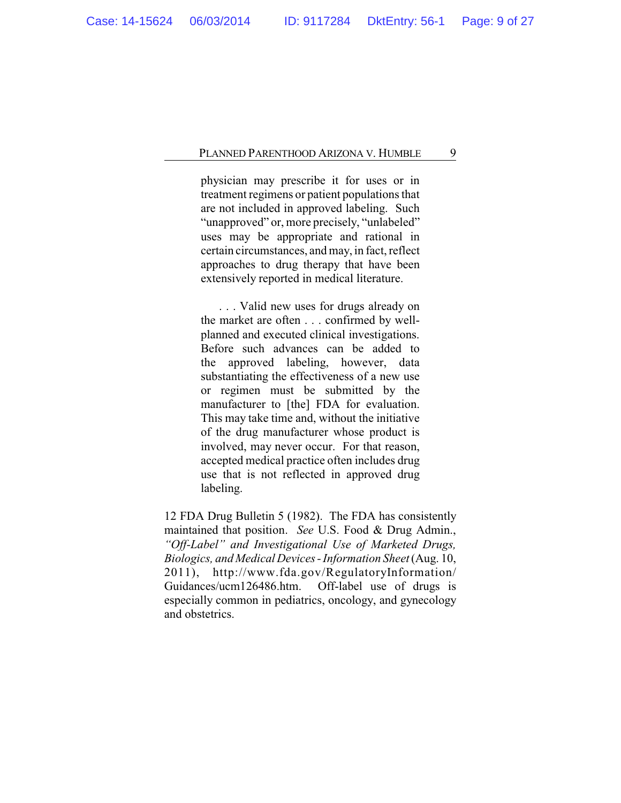physician may prescribe it for uses or in treatment regimens or patient populations that are not included in approved labeling. Such "unapproved" or, more precisely, "unlabeled" uses may be appropriate and rational in certain circumstances, and may, in fact, reflect approaches to drug therapy that have been extensively reported in medical literature.

. . . Valid new uses for drugs already on the market are often . . . confirmed by wellplanned and executed clinical investigations. Before such advances can be added to the approved labeling, however, data substantiating the effectiveness of a new use or regimen must be submitted by the manufacturer to [the] FDA for evaluation. This may take time and, without the initiative of the drug manufacturer whose product is involved, may never occur. For that reason, accepted medical practice often includes drug use that is not reflected in approved drug labeling.

12 FDA Drug Bulletin 5 (1982). The FDA has consistently maintained that position. *See* U.S. Food & Drug Admin., *"Off-Label" and Investigational Use of Marketed Drugs, Biologics, and Medical Devices - Information Sheet*(Aug. 10, 2011), http://www.fda.gov/RegulatoryInformation/ Guidances/ucm126486.htm. Off-label use of drugs is especially common in pediatrics, oncology, and gynecology and obstetrics.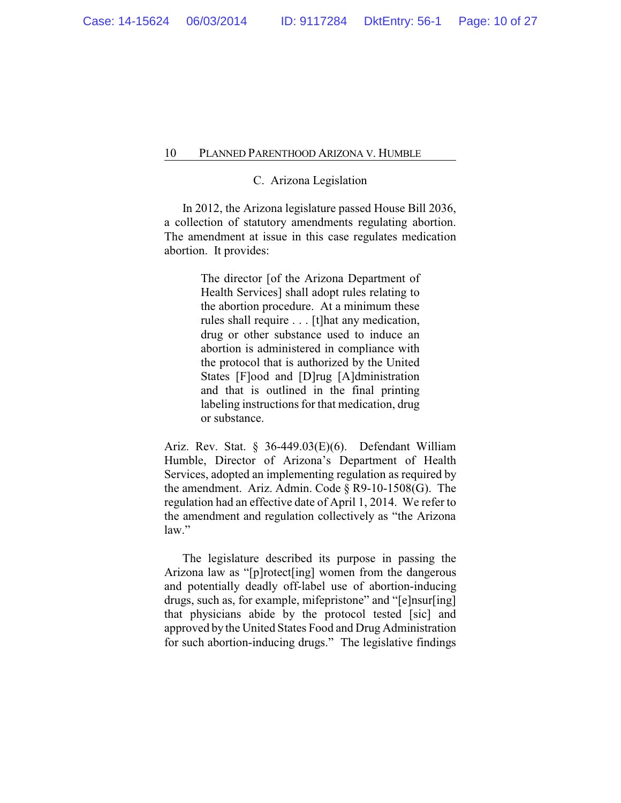## C. Arizona Legislation

In 2012, the Arizona legislature passed House Bill 2036, a collection of statutory amendments regulating abortion. The amendment at issue in this case regulates medication abortion. It provides:

> The director [of the Arizona Department of Health Services] shall adopt rules relating to the abortion procedure. At a minimum these rules shall require . . . [t]hat any medication, drug or other substance used to induce an abortion is administered in compliance with the protocol that is authorized by the United States [F]ood and [D]rug [A]dministration and that is outlined in the final printing labeling instructions for that medication, drug or substance.

Ariz. Rev. Stat. § 36-449.03(E)(6). Defendant William Humble, Director of Arizona's Department of Health Services, adopted an implementing regulation as required by the amendment. Ariz. Admin. Code § R9-10-1508(G). The regulation had an effective date of April 1, 2014. We refer to the amendment and regulation collectively as "the Arizona law."

The legislature described its purpose in passing the Arizona law as "[p]rotect[ing] women from the dangerous and potentially deadly off-label use of abortion-inducing drugs, such as, for example, mifepristone" and "[e]nsur[ing] that physicians abide by the protocol tested [sic] and approved by the United States Food and Drug Administration for such abortion-inducing drugs." The legislative findings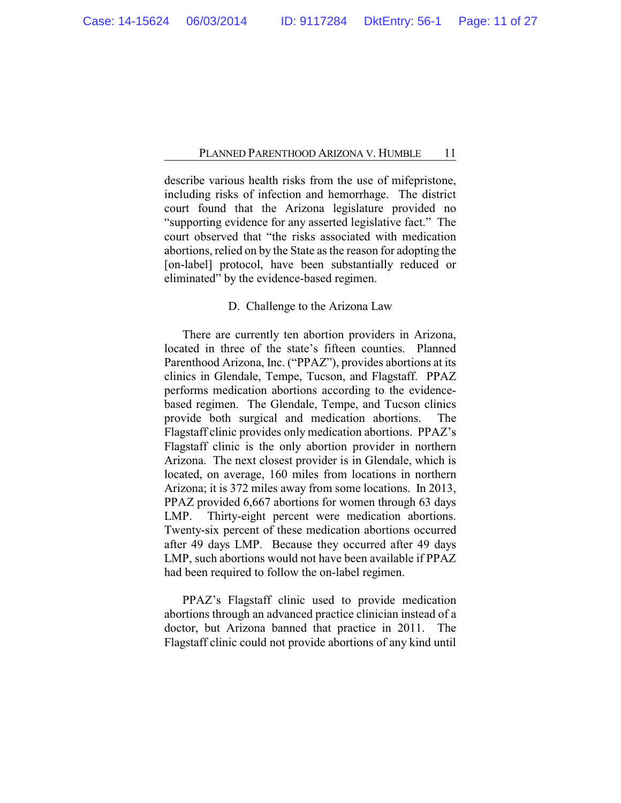describe various health risks from the use of mifepristone, including risks of infection and hemorrhage. The district court found that the Arizona legislature provided no "supporting evidence for any asserted legislative fact." The court observed that "the risks associated with medication abortions, relied on by the State as the reason for adopting the [on-label] protocol, have been substantially reduced or eliminated" by the evidence-based regimen.

## D. Challenge to the Arizona Law

There are currently ten abortion providers in Arizona, located in three of the state's fifteen counties. Planned Parenthood Arizona, Inc. ("PPAZ"), provides abortions at its clinics in Glendale, Tempe, Tucson, and Flagstaff. PPAZ performs medication abortions according to the evidencebased regimen. The Glendale, Tempe, and Tucson clinics provide both surgical and medication abortions. The Flagstaff clinic provides only medication abortions. PPAZ's Flagstaff clinic is the only abortion provider in northern Arizona. The next closest provider is in Glendale, which is located, on average, 160 miles from locations in northern Arizona; it is 372 miles away from some locations. In 2013, PPAZ provided 6,667 abortions for women through 63 days LMP. Thirty-eight percent were medication abortions. Twenty-six percent of these medication abortions occurred after 49 days LMP. Because they occurred after 49 days LMP, such abortions would not have been available if PPAZ had been required to follow the on-label regimen.

PPAZ's Flagstaff clinic used to provide medication abortions through an advanced practice clinician instead of a doctor, but Arizona banned that practice in 2011. The Flagstaff clinic could not provide abortions of any kind until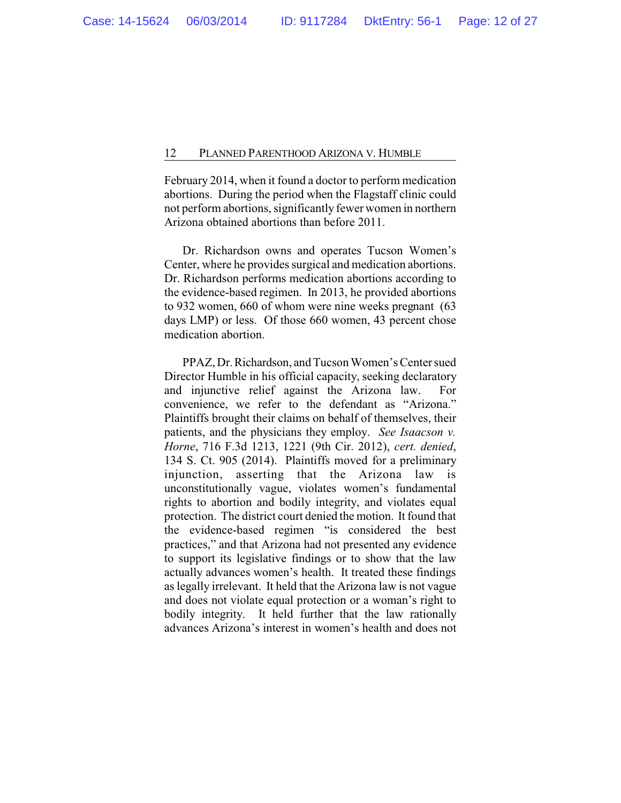February 2014, when it found a doctor to perform medication abortions. During the period when the Flagstaff clinic could not perform abortions, significantly fewer women in northern Arizona obtained abortions than before 2011.

Dr. Richardson owns and operates Tucson Women's Center, where he provides surgical and medication abortions. Dr. Richardson performs medication abortions according to the evidence-based regimen. In 2013, he provided abortions to 932 women, 660 of whom were nine weeks pregnant (63 days LMP) or less. Of those 660 women, 43 percent chose medication abortion.

PPAZ, Dr.Richardson, and Tucson Women's Center sued Director Humble in his official capacity, seeking declaratory and injunctive relief against the Arizona law. For convenience, we refer to the defendant as "Arizona." Plaintiffs brought their claims on behalf of themselves, their patients, and the physicians they employ. *See Isaacson v. Horne*, 716 F.3d 1213, 1221 (9th Cir. 2012), *cert. denied*, 134 S. Ct. 905 (2014). Plaintiffs moved for a preliminary injunction, asserting that the Arizona law is unconstitutionally vague, violates women's fundamental rights to abortion and bodily integrity, and violates equal protection. The district court denied the motion. It found that the evidence-based regimen "is considered the best practices," and that Arizona had not presented any evidence to support its legislative findings or to show that the law actually advances women's health. It treated these findings as legally irrelevant. It held that the Arizona law is not vague and does not violate equal protection or a woman's right to bodily integrity. It held further that the law rationally advances Arizona's interest in women's health and does not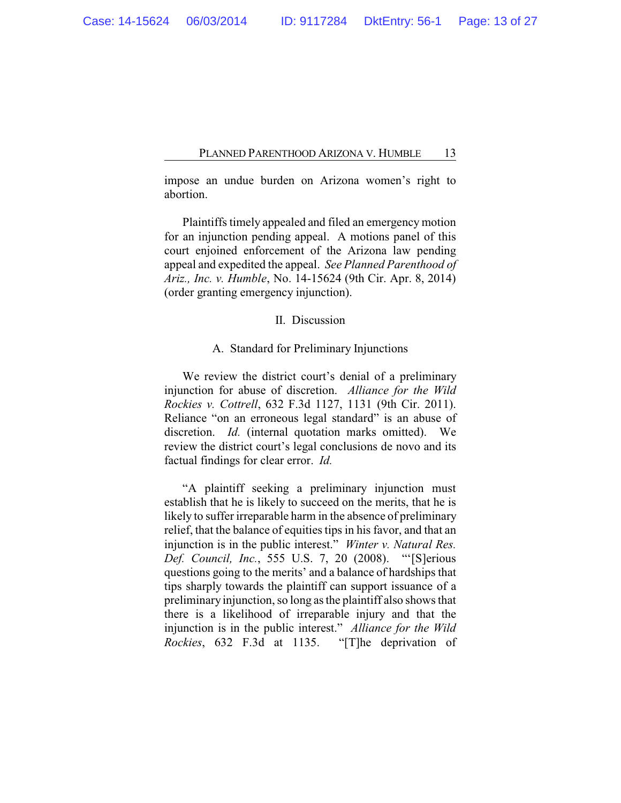impose an undue burden on Arizona women's right to abortion.

Plaintiffs timely appealed and filed an emergency motion for an injunction pending appeal. A motions panel of this court enjoined enforcement of the Arizona law pending appeal and expedited the appeal. *See Planned Parenthood of Ariz., Inc. v. Humble*, No. 14-15624 (9th Cir. Apr. 8, 2014) (order granting emergency injunction).

### II. Discussion

#### A. Standard for Preliminary Injunctions

We review the district court's denial of a preliminary injunction for abuse of discretion. *Alliance for the Wild Rockies v. Cottrell*, 632 F.3d 1127, 1131 (9th Cir. 2011). Reliance "on an erroneous legal standard" is an abuse of discretion. *Id.* (internal quotation marks omitted). We review the district court's legal conclusions de novo and its factual findings for clear error. *Id.*

"A plaintiff seeking a preliminary injunction must establish that he is likely to succeed on the merits, that he is likely to suffer irreparable harm in the absence of preliminary relief, that the balance of equities tips in his favor, and that an injunction is in the public interest." *Winter v. Natural Res. Def. Council, Inc.*, 555 U.S. 7, 20 (2008). "'[S]erious questions going to the merits' and a balance of hardships that tips sharply towards the plaintiff can support issuance of a preliminary injunction, so long as the plaintiff also shows that there is a likelihood of irreparable injury and that the injunction is in the public interest." *Alliance for the Wild Rockies*, 632 F.3d at 1135. "[T]he deprivation of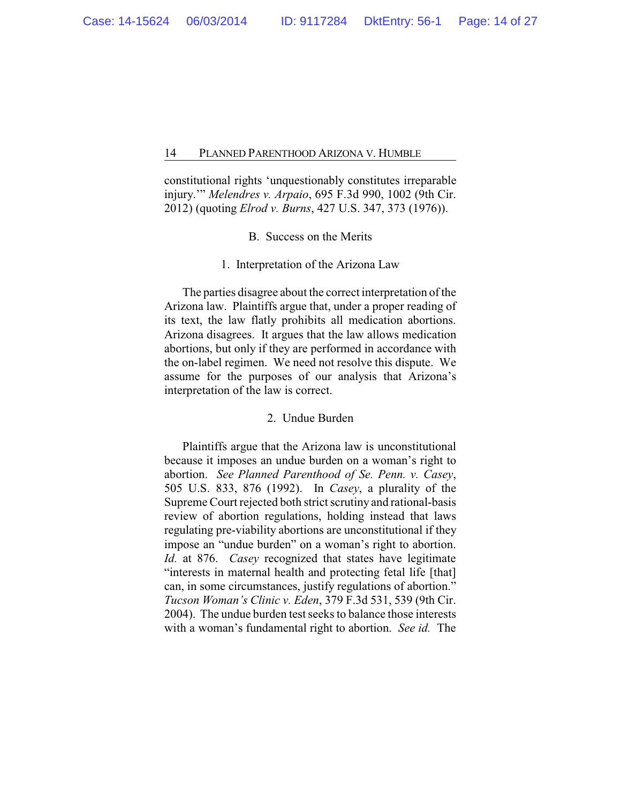constitutional rights 'unquestionably constitutes irreparable injury.'" *Melendres v. Arpaio*, 695 F.3d 990, 1002 (9th Cir. 2012) (quoting *Elrod v. Burns*, 427 U.S. 347, 373 (1976)).

## B. Success on the Merits

#### 1. Interpretation of the Arizona Law

The parties disagree about the correct interpretation of the Arizona law. Plaintiffs argue that, under a proper reading of its text, the law flatly prohibits all medication abortions. Arizona disagrees. It argues that the law allows medication abortions, but only if they are performed in accordance with the on-label regimen. We need not resolve this dispute. We assume for the purposes of our analysis that Arizona's interpretation of the law is correct.

### 2. Undue Burden

Plaintiffs argue that the Arizona law is unconstitutional because it imposes an undue burden on a woman's right to abortion. *See Planned Parenthood of Se. Penn. v. Casey*, 505 U.S. 833, 876 (1992). In *Casey*, a plurality of the Supreme Court rejected both strict scrutiny and rational-basis review of abortion regulations, holding instead that laws regulating pre-viability abortions are unconstitutional if they impose an "undue burden" on a woman's right to abortion. *Id.* at 876. *Casey* recognized that states have legitimate "interests in maternal health and protecting fetal life [that] can, in some circumstances, justify regulations of abortion." *Tucson Woman's Clinic v. Eden*, 379 F.3d 531, 539 (9th Cir. 2004). The undue burden test seeks to balance those interests with a woman's fundamental right to abortion. *See id.* The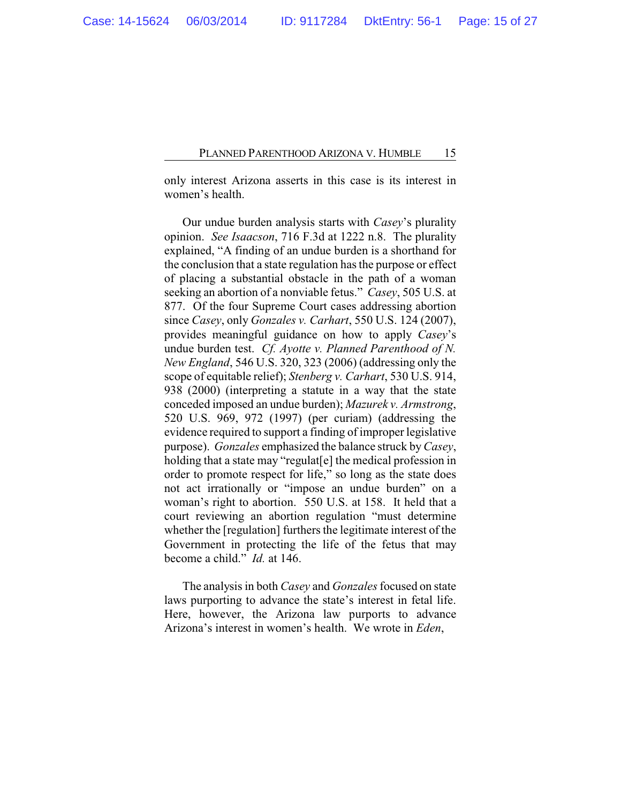only interest Arizona asserts in this case is its interest in women's health.

Our undue burden analysis starts with *Casey*'s plurality opinion. *See Isaacson*, 716 F.3d at 1222 n.8. The plurality explained, "A finding of an undue burden is a shorthand for the conclusion that a state regulation has the purpose or effect of placing a substantial obstacle in the path of a woman seeking an abortion of a nonviable fetus." *Casey*, 505 U.S. at 877. Of the four Supreme Court cases addressing abortion since *Casey*, only *Gonzales v. Carhart*, 550 U.S. 124 (2007), provides meaningful guidance on how to apply *Casey*'s undue burden test. *Cf. Ayotte v. Planned Parenthood of N. New England*, 546 U.S. 320, 323 (2006) (addressing only the scope of equitable relief); *Stenberg v. Carhart*, 530 U.S. 914, 938 (2000) (interpreting a statute in a way that the state conceded imposed an undue burden); *Mazurek v. Armstrong*, 520 U.S. 969, 972 (1997) (per curiam) (addressing the evidence required to support a finding of improper legislative purpose). *Gonzales* emphasized the balance struck by*Casey*, holding that a state may "regulat[e] the medical profession in order to promote respect for life," so long as the state does not act irrationally or "impose an undue burden" on a woman's right to abortion. 550 U.S. at 158. It held that a court reviewing an abortion regulation "must determine whether the [regulation] furthers the legitimate interest of the Government in protecting the life of the fetus that may become a child." *Id.* at 146.

The analysis in both *Casey* and *Gonzales* focused on state laws purporting to advance the state's interest in fetal life. Here, however, the Arizona law purports to advance Arizona's interest in women's health. We wrote in *Eden*,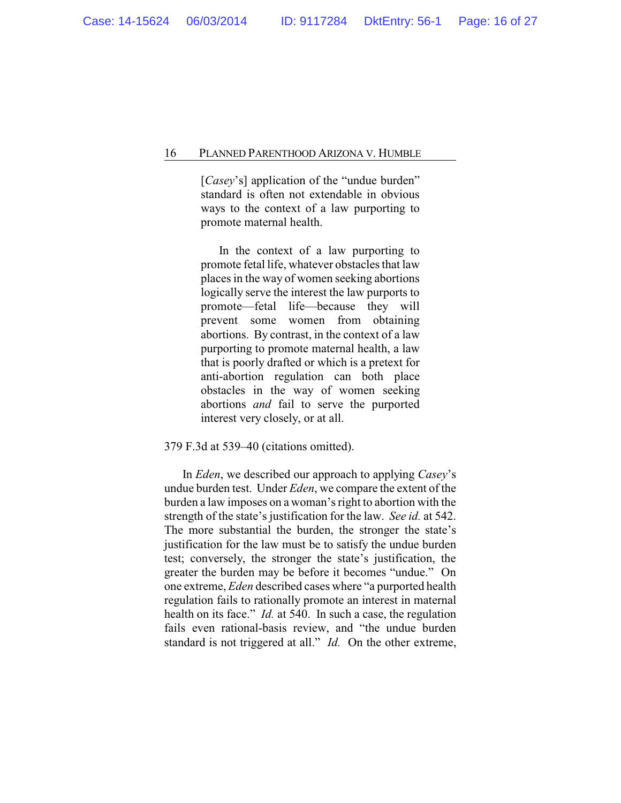[*Casey*'s] application of the "undue burden" standard is often not extendable in obvious ways to the context of a law purporting to promote maternal health.

In the context of a law purporting to promote fetal life, whatever obstacles that law places in the way of women seeking abortions logically serve the interest the law purports to promote—fetal life—because they will prevent some women from obtaining abortions. By contrast, in the context of a law purporting to promote maternal health, a law that is poorly drafted or which is a pretext for anti-abortion regulation can both place obstacles in the way of women seeking abortions *and* fail to serve the purported interest very closely, or at all.

## 379 F.3d at 539–40 (citations omitted).

In *Eden*, we described our approach to applying *Casey*'s undue burden test. Under *Eden*, we compare the extent of the burden a law imposes on a woman's right to abortion with the strength of the state's justification for the law. *See id.* at 542. The more substantial the burden, the stronger the state's justification for the law must be to satisfy the undue burden test; conversely, the stronger the state's justification, the greater the burden may be before it becomes "undue." On one extreme, *Eden* described cases where "a purported health regulation fails to rationally promote an interest in maternal health on its face." *Id.* at 540. In such a case, the regulation fails even rational-basis review, and "the undue burden standard is not triggered at all." *Id.* On the other extreme,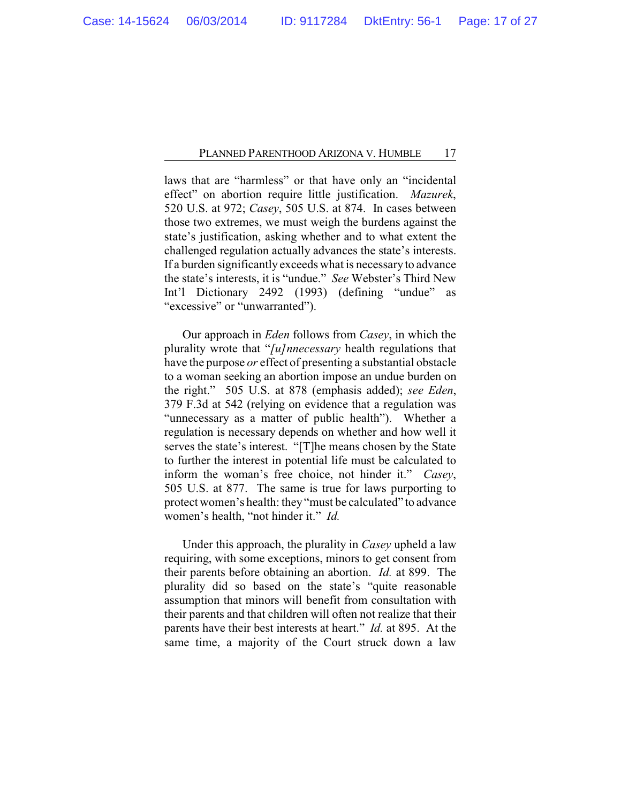laws that are "harmless" or that have only an "incidental effect" on abortion require little justification. *Mazurek*, 520 U.S. at 972; *Casey*, 505 U.S. at 874. In cases between those two extremes, we must weigh the burdens against the state's justification, asking whether and to what extent the challenged regulation actually advances the state's interests. If a burden significantly exceeds what is necessaryto advance the state's interests, it is "undue." *See* Webster's Third New Int'l Dictionary 2492 (1993) (defining "undue" as "excessive" or "unwarranted").

Our approach in *Eden* follows from *Casey*, in which the plurality wrote that "*[u]nnecessary* health regulations that have the purpose *or* effect of presenting a substantial obstacle to a woman seeking an abortion impose an undue burden on the right." 505 U.S. at 878 (emphasis added); *see Eden*, 379 F.3d at 542 (relying on evidence that a regulation was "unnecessary as a matter of public health"). Whether a regulation is necessary depends on whether and how well it serves the state's interest. "[T]he means chosen by the State to further the interest in potential life must be calculated to inform the woman's free choice, not hinder it." *Casey*, 505 U.S. at 877. The same is true for laws purporting to protect women's health: they "must be calculated" to advance women's health, "not hinder it." *Id.*

Under this approach, the plurality in *Casey* upheld a law requiring, with some exceptions, minors to get consent from their parents before obtaining an abortion. *Id.* at 899. The plurality did so based on the state's "quite reasonable assumption that minors will benefit from consultation with their parents and that children will often not realize that their parents have their best interests at heart." *Id.* at 895. At the same time, a majority of the Court struck down a law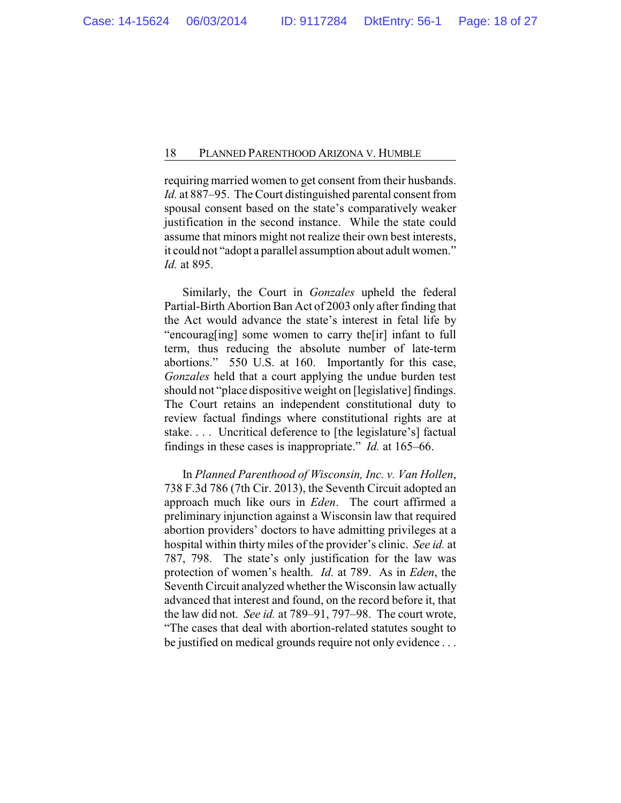requiring married women to get consent from their husbands. *Id.* at 887–95. The Court distinguished parental consent from spousal consent based on the state's comparatively weaker justification in the second instance. While the state could assume that minors might not realize their own best interests, it could not "adopt a parallel assumption about adult women." *Id.* at 895.

Similarly, the Court in *Gonzales* upheld the federal Partial-Birth Abortion Ban Act of 2003 only after finding that the Act would advance the state's interest in fetal life by "encourag[ing] some women to carry the[ir] infant to full term, thus reducing the absolute number of late-term abortions." 550 U.S. at 160. Importantly for this case, *Gonzales* held that a court applying the undue burden test should not "place dispositive weight on [legislative] findings. The Court retains an independent constitutional duty to review factual findings where constitutional rights are at stake. . . . Uncritical deference to [the legislature's] factual findings in these cases is inappropriate." *Id.* at 165–66.

In *Planned Parenthood of Wisconsin, Inc. v. Van Hollen*, 738 F.3d 786 (7th Cir. 2013), the Seventh Circuit adopted an approach much like ours in *Eden*. The court affirmed a preliminary injunction against a Wisconsin law that required abortion providers' doctors to have admitting privileges at a hospital within thirty miles of the provider's clinic. *See id.* at 787, 798. The state's only justification for the law was protection of women's health. *Id.* at 789. As in *Eden*, the Seventh Circuit analyzed whether the Wisconsin law actually advanced that interest and found, on the record before it, that the law did not. *See id.* at 789–91, 797–98. The court wrote, "The cases that deal with abortion-related statutes sought to be justified on medical grounds require not only evidence . . .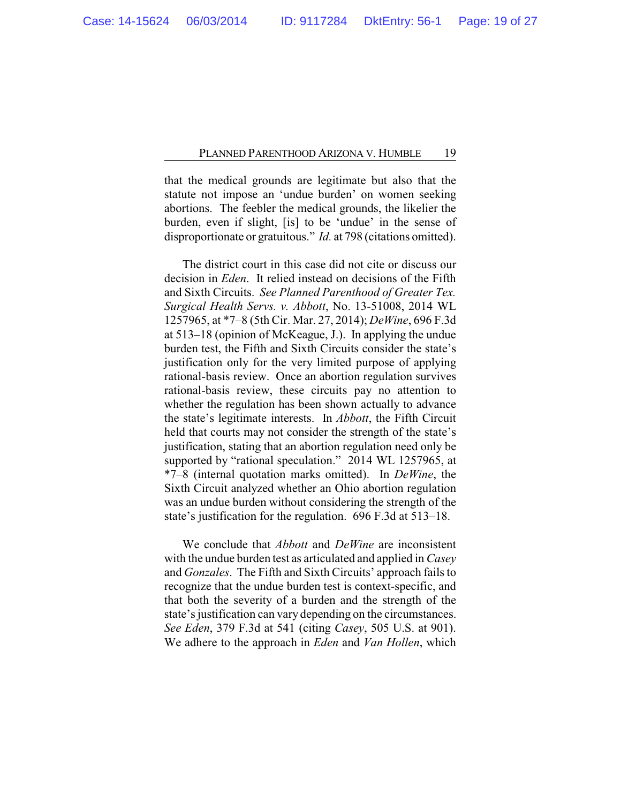that the medical grounds are legitimate but also that the statute not impose an 'undue burden' on women seeking abortions. The feebler the medical grounds, the likelier the burden, even if slight, [is] to be 'undue' in the sense of disproportionate or gratuitous." *Id.* at 798 (citations omitted).

The district court in this case did not cite or discuss our decision in *Eden*. It relied instead on decisions of the Fifth and Sixth Circuits. *See Planned Parenthood of Greater Tex. Surgical Health Servs. v. Abbott*, No. 13-51008, 2014 WL 1257965, at \*7–8 (5th Cir. Mar. 27, 2014); *DeWine*, 696 F.3d at 513–18 (opinion of McKeague, J.). In applying the undue burden test, the Fifth and Sixth Circuits consider the state's justification only for the very limited purpose of applying rational-basis review. Once an abortion regulation survives rational-basis review, these circuits pay no attention to whether the regulation has been shown actually to advance the state's legitimate interests. In *Abbott*, the Fifth Circuit held that courts may not consider the strength of the state's justification, stating that an abortion regulation need only be supported by "rational speculation." 2014 WL 1257965, at \*7–8 (internal quotation marks omitted). In *DeWine*, the Sixth Circuit analyzed whether an Ohio abortion regulation was an undue burden without considering the strength of the state's justification for the regulation. 696 F.3d at 513–18.

We conclude that *Abbott* and *DeWine* are inconsistent with the undue burden test as articulated and applied in *Casey* and *Gonzales*. The Fifth and Sixth Circuits' approach fails to recognize that the undue burden test is context-specific, and that both the severity of a burden and the strength of the state's justification can vary depending on the circumstances. *See Eden*, 379 F.3d at 541 (citing *Casey*, 505 U.S. at 901). We adhere to the approach in *Eden* and *Van Hollen*, which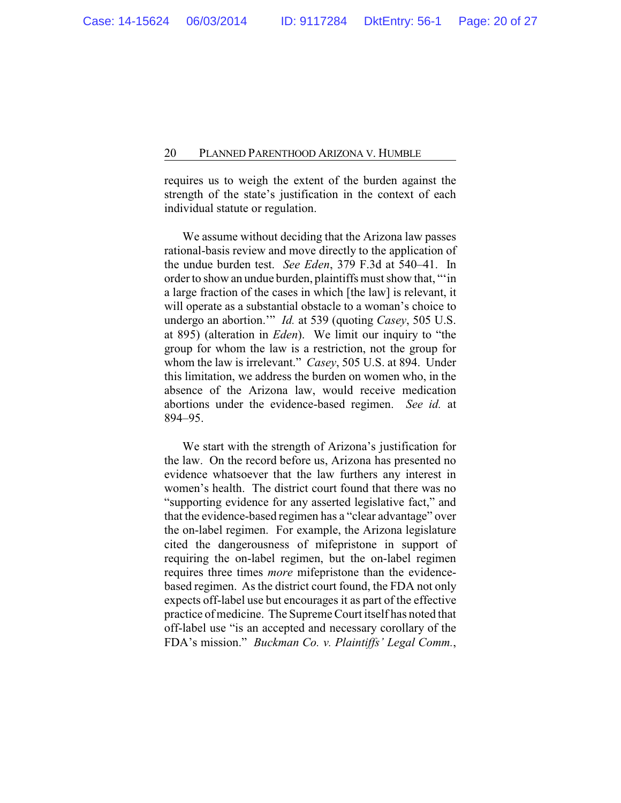requires us to weigh the extent of the burden against the strength of the state's justification in the context of each individual statute or regulation.

We assume without deciding that the Arizona law passes rational-basis review and move directly to the application of the undue burden test. *See Eden*, 379 F.3d at 540–41. In order to show an undue burden, plaintiffs must show that, "'in a large fraction of the cases in which [the law] is relevant, it will operate as a substantial obstacle to a woman's choice to undergo an abortion.'" *Id.* at 539 (quoting *Casey*, 505 U.S. at 895) (alteration in *Eden*). We limit our inquiry to "the group for whom the law is a restriction, not the group for whom the law is irrelevant." *Casey*, 505 U.S. at 894. Under this limitation, we address the burden on women who, in the absence of the Arizona law, would receive medication abortions under the evidence-based regimen. *See id.* at 894–95.

We start with the strength of Arizona's justification for the law. On the record before us, Arizona has presented no evidence whatsoever that the law furthers any interest in women's health. The district court found that there was no "supporting evidence for any asserted legislative fact," and that the evidence-based regimen has a "clear advantage" over the on-label regimen. For example, the Arizona legislature cited the dangerousness of mifepristone in support of requiring the on-label regimen, but the on-label regimen requires three times *more* mifepristone than the evidencebased regimen. As the district court found, the FDA not only expects off-label use but encourages it as part of the effective practice of medicine. The Supreme Court itself has noted that off-label use "is an accepted and necessary corollary of the FDA's mission." *Buckman Co. v. Plaintiffs' Legal Comm.*,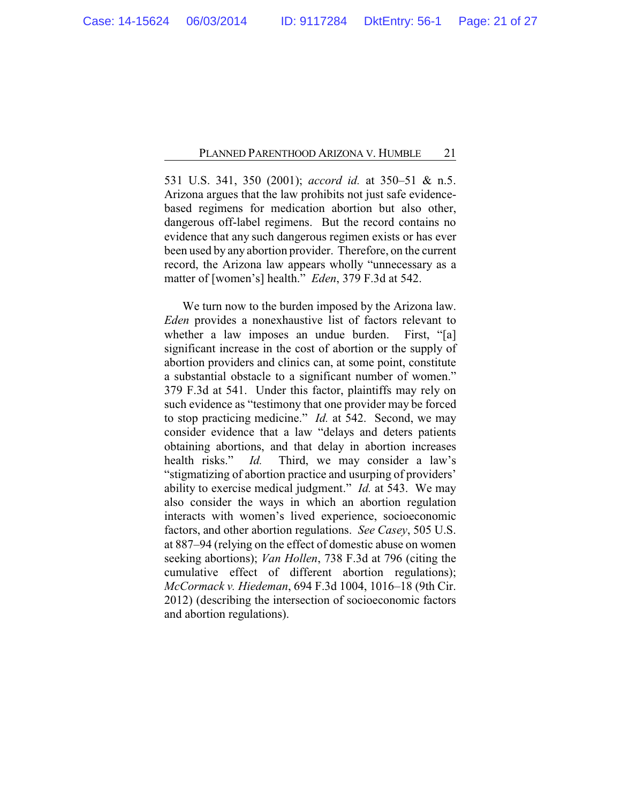531 U.S. 341, 350 (2001); *accord id.* at 350–51 & n.5. Arizona argues that the law prohibits not just safe evidencebased regimens for medication abortion but also other, dangerous off-label regimens. But the record contains no evidence that any such dangerous regimen exists or has ever been used by any abortion provider. Therefore, on the current record, the Arizona law appears wholly "unnecessary as a matter of [women's] health." *Eden*, 379 F.3d at 542.

We turn now to the burden imposed by the Arizona law. *Eden* provides a nonexhaustive list of factors relevant to whether a law imposes an undue burden. First, "[a] significant increase in the cost of abortion or the supply of abortion providers and clinics can, at some point, constitute a substantial obstacle to a significant number of women." 379 F.3d at 541. Under this factor, plaintiffs may rely on such evidence as "testimony that one provider may be forced to stop practicing medicine." *Id.* at 542. Second, we may consider evidence that a law "delays and deters patients obtaining abortions, and that delay in abortion increases health risks." *Id.* Third, we may consider a law's "stigmatizing of abortion practice and usurping of providers' ability to exercise medical judgment." *Id.* at 543. We may also consider the ways in which an abortion regulation interacts with women's lived experience, socioeconomic factors, and other abortion regulations. *See Casey*, 505 U.S. at 887–94 (relying on the effect of domestic abuse on women seeking abortions); *Van Hollen*, 738 F.3d at 796 (citing the cumulative effect of different abortion regulations); *McCormack v. Hiedeman*, 694 F.3d 1004, 1016–18 (9th Cir. 2012) (describing the intersection of socioeconomic factors and abortion regulations).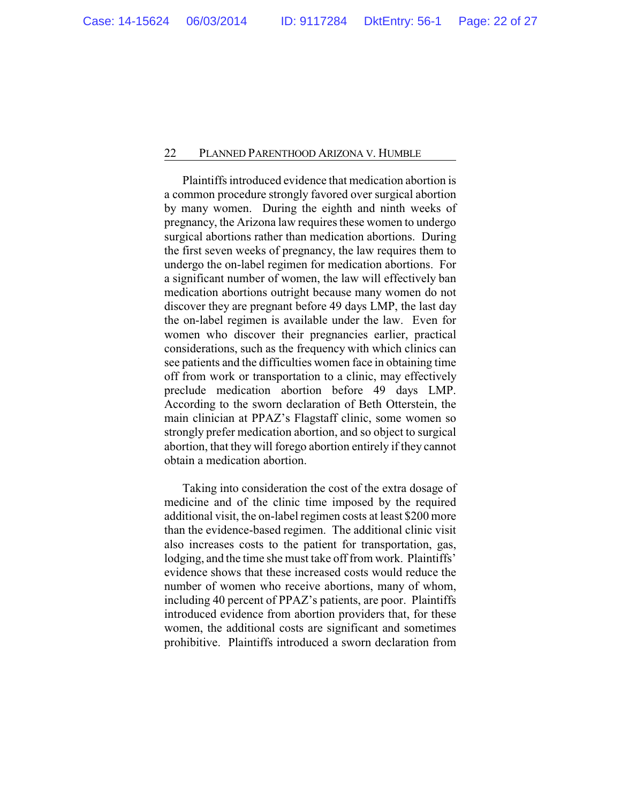Plaintiffs introduced evidence that medication abortion is a common procedure strongly favored over surgical abortion by many women. During the eighth and ninth weeks of pregnancy, the Arizona law requires these women to undergo surgical abortions rather than medication abortions. During the first seven weeks of pregnancy, the law requires them to undergo the on-label regimen for medication abortions. For a significant number of women, the law will effectively ban medication abortions outright because many women do not discover they are pregnant before 49 days LMP, the last day the on-label regimen is available under the law. Even for women who discover their pregnancies earlier, practical considerations, such as the frequency with which clinics can see patients and the difficulties women face in obtaining time off from work or transportation to a clinic, may effectively preclude medication abortion before 49 days LMP. According to the sworn declaration of Beth Otterstein, the main clinician at PPAZ's Flagstaff clinic, some women so strongly prefer medication abortion, and so object to surgical abortion, that they will forego abortion entirely if they cannot obtain a medication abortion.

Taking into consideration the cost of the extra dosage of medicine and of the clinic time imposed by the required additional visit, the on-label regimen costs at least \$200 more than the evidence-based regimen. The additional clinic visit also increases costs to the patient for transportation, gas, lodging, and the time she must take off from work. Plaintiffs' evidence shows that these increased costs would reduce the number of women who receive abortions, many of whom, including 40 percent of PPAZ's patients, are poor. Plaintiffs introduced evidence from abortion providers that, for these women, the additional costs are significant and sometimes prohibitive. Plaintiffs introduced a sworn declaration from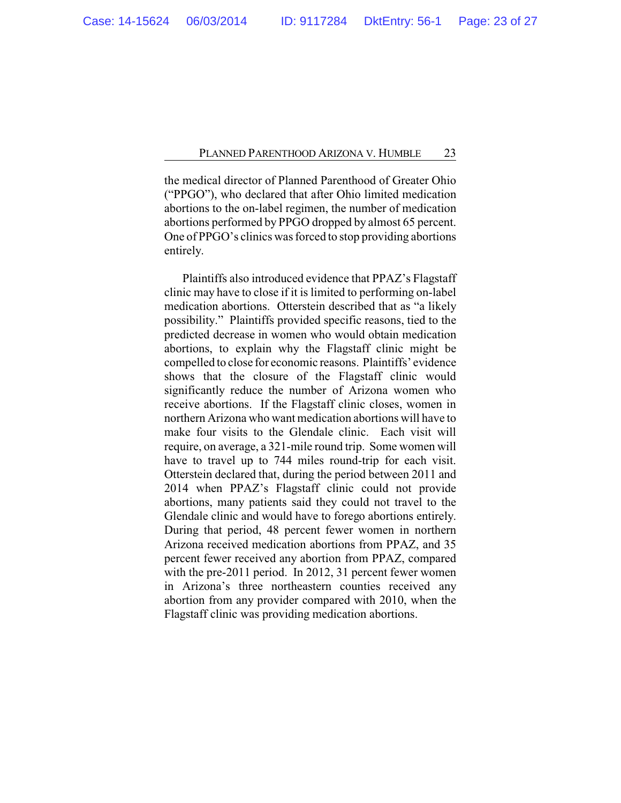the medical director of Planned Parenthood of Greater Ohio ("PPGO"), who declared that after Ohio limited medication abortions to the on-label regimen, the number of medication abortions performed by PPGO dropped by almost 65 percent. One of PPGO's clinics was forced to stop providing abortions entirely.

Plaintiffs also introduced evidence that PPAZ's Flagstaff clinic may have to close if it is limited to performing on-label medication abortions. Otterstein described that as "a likely possibility." Plaintiffs provided specific reasons, tied to the predicted decrease in women who would obtain medication abortions, to explain why the Flagstaff clinic might be compelled to close for economic reasons. Plaintiffs' evidence shows that the closure of the Flagstaff clinic would significantly reduce the number of Arizona women who receive abortions. If the Flagstaff clinic closes, women in northern Arizona who want medication abortions will have to make four visits to the Glendale clinic. Each visit will require, on average, a 321-mile round trip. Some women will have to travel up to 744 miles round-trip for each visit. Otterstein declared that, during the period between 2011 and 2014 when PPAZ's Flagstaff clinic could not provide abortions, many patients said they could not travel to the Glendale clinic and would have to forego abortions entirely. During that period, 48 percent fewer women in northern Arizona received medication abortions from PPAZ, and 35 percent fewer received any abortion from PPAZ, compared with the pre-2011 period. In 2012, 31 percent fewer women in Arizona's three northeastern counties received any abortion from any provider compared with 2010, when the Flagstaff clinic was providing medication abortions.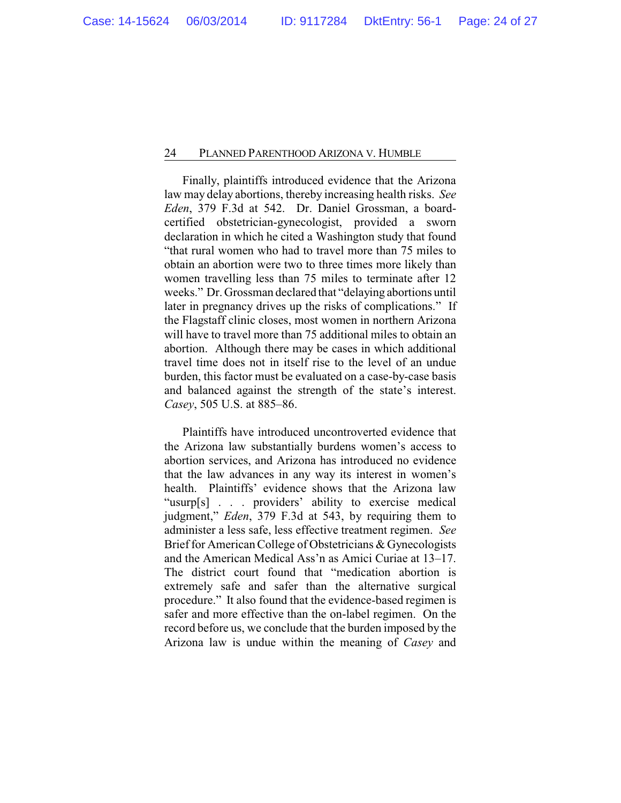Finally, plaintiffs introduced evidence that the Arizona law may delay abortions, thereby increasing health risks. *See Eden*, 379 F.3d at 542. Dr. Daniel Grossman, a boardcertified obstetrician-gynecologist, provided a sworn declaration in which he cited a Washington study that found "that rural women who had to travel more than 75 miles to obtain an abortion were two to three times more likely than women travelling less than 75 miles to terminate after 12 weeks." Dr. Grossman declared that "delaying abortions until later in pregnancy drives up the risks of complications." If the Flagstaff clinic closes, most women in northern Arizona will have to travel more than 75 additional miles to obtain an abortion. Although there may be cases in which additional travel time does not in itself rise to the level of an undue burden, this factor must be evaluated on a case-by-case basis and balanced against the strength of the state's interest. *Casey*, 505 U.S. at 885–86.

Plaintiffs have introduced uncontroverted evidence that the Arizona law substantially burdens women's access to abortion services, and Arizona has introduced no evidence that the law advances in any way its interest in women's health. Plaintiffs' evidence shows that the Arizona law "usurp[s] . . . providers' ability to exercise medical judgment," *Eden*, 379 F.3d at 543, by requiring them to administer a less safe, less effective treatment regimen. *See* Brief for American College of Obstetricians & Gynecologists and the American Medical Ass'n as Amici Curiae at 13–17. The district court found that "medication abortion is extremely safe and safer than the alternative surgical procedure." It also found that the evidence-based regimen is safer and more effective than the on-label regimen. On the record before us, we conclude that the burden imposed by the Arizona law is undue within the meaning of *Casey* and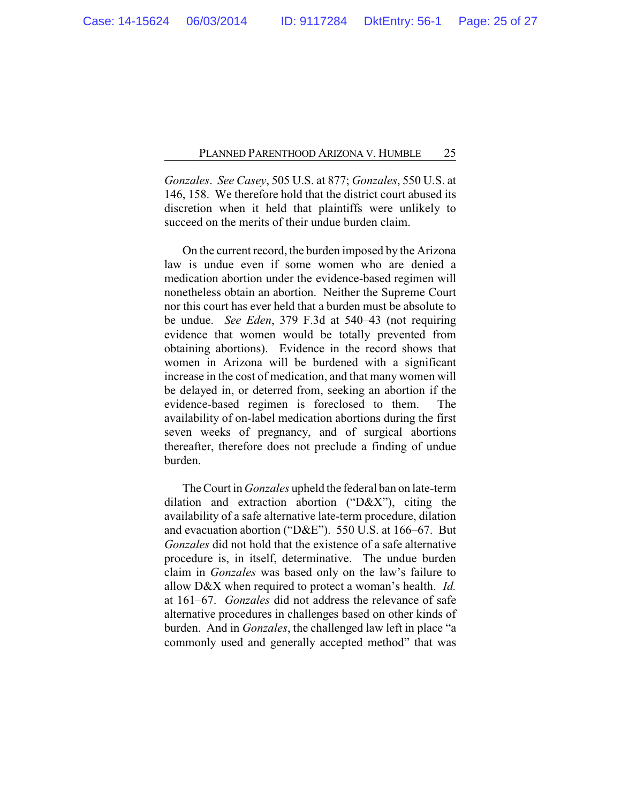*Gonzales*. *See Casey*, 505 U.S. at 877; *Gonzales*, 550 U.S. at 146, 158. We therefore hold that the district court abused its discretion when it held that plaintiffs were unlikely to succeed on the merits of their undue burden claim.

On the current record, the burden imposed by the Arizona law is undue even if some women who are denied a medication abortion under the evidence-based regimen will nonetheless obtain an abortion. Neither the Supreme Court nor this court has ever held that a burden must be absolute to be undue. *See Eden*, 379 F.3d at 540–43 (not requiring evidence that women would be totally prevented from obtaining abortions). Evidence in the record shows that women in Arizona will be burdened with a significant increase in the cost of medication, and that many women will be delayed in, or deterred from, seeking an abortion if the evidence-based regimen is foreclosed to them. The availability of on-label medication abortions during the first seven weeks of pregnancy, and of surgical abortions thereafter, therefore does not preclude a finding of undue burden.

The Court in *Gonzales* upheld the federal ban on late-term dilation and extraction abortion ("D&X"), citing the availability of a safe alternative late-term procedure, dilation and evacuation abortion ("D&E"). 550 U.S. at 166–67. But *Gonzales* did not hold that the existence of a safe alternative procedure is, in itself, determinative. The undue burden claim in *Gonzales* was based only on the law's failure to allow D&X when required to protect a woman's health. *Id.* at 161–67. *Gonzales* did not address the relevance of safe alternative procedures in challenges based on other kinds of burden. And in *Gonzales*, the challenged law left in place "a commonly used and generally accepted method" that was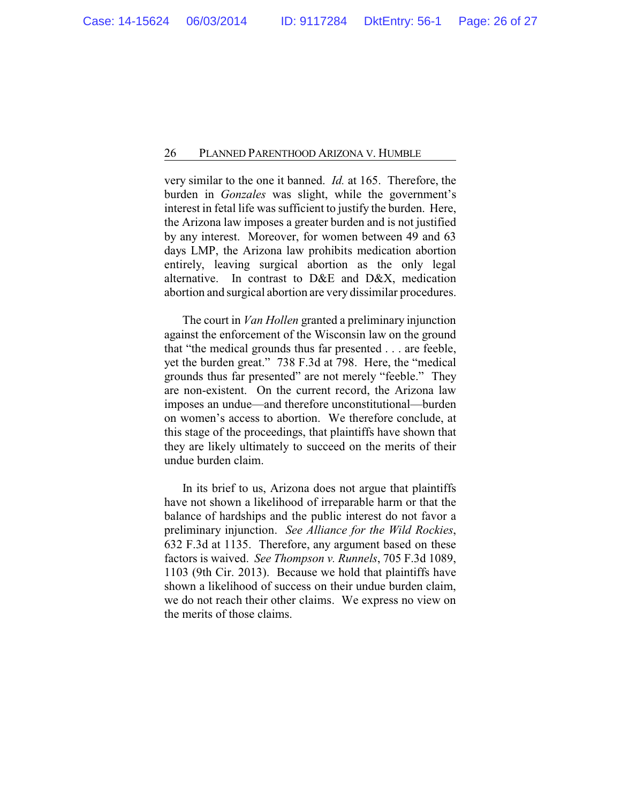very similar to the one it banned. *Id.* at 165. Therefore, the burden in *Gonzales* was slight, while the government's interest in fetal life was sufficient to justify the burden. Here, the Arizona law imposes a greater burden and is not justified by any interest. Moreover, for women between 49 and 63 days LMP, the Arizona law prohibits medication abortion entirely, leaving surgical abortion as the only legal alternative. In contrast to D&E and D&X, medication abortion and surgical abortion are very dissimilar procedures.

The court in *Van Hollen* granted a preliminary injunction against the enforcement of the Wisconsin law on the ground that "the medical grounds thus far presented . . . are feeble, yet the burden great." 738 F.3d at 798. Here, the "medical grounds thus far presented" are not merely "feeble." They are non-existent. On the current record, the Arizona law imposes an undue—and therefore unconstitutional—burden on women's access to abortion. We therefore conclude, at this stage of the proceedings, that plaintiffs have shown that they are likely ultimately to succeed on the merits of their undue burden claim.

In its brief to us, Arizona does not argue that plaintiffs have not shown a likelihood of irreparable harm or that the balance of hardships and the public interest do not favor a preliminary injunction. *See Alliance for the Wild Rockies*, 632 F.3d at 1135. Therefore, any argument based on these factors is waived. *See Thompson v. Runnels*, 705 F.3d 1089, 1103 (9th Cir. 2013). Because we hold that plaintiffs have shown a likelihood of success on their undue burden claim, we do not reach their other claims. We express no view on the merits of those claims.